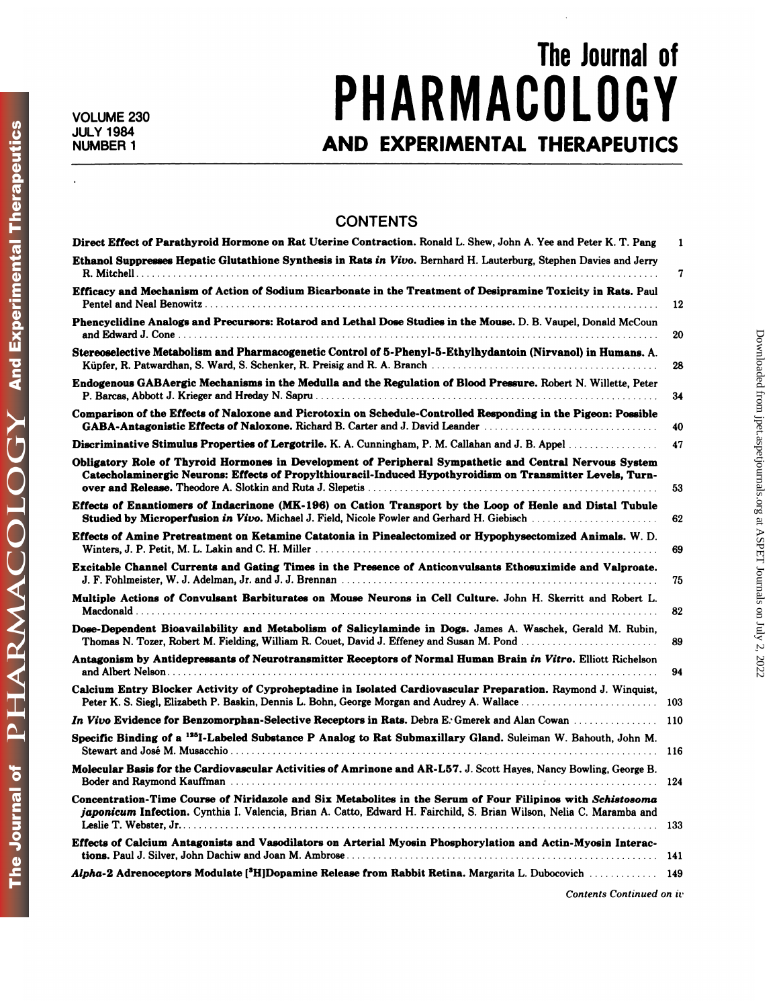## The Journal of<br>
n I n C V VOLUME 230 **PHARMACULUGY** The Journal of<br>
JULY 1984<br>
NUMBER 1<br>
AND EXPERIMENTAL THERAPEUTICS

## **CONTENTS**

| <b>CONTENTS</b>                                                                                                                                                                                                                     |     |
|-------------------------------------------------------------------------------------------------------------------------------------------------------------------------------------------------------------------------------------|-----|
| Direct Effect of Parathyroid Hormone on Rat Uterine Contraction. Ronald L. Shew, John A. Yee and Peter K. T. Pang                                                                                                                   | 1   |
| Ethanol Suppresses Hepatic Glutathione Synthesis in Rats in Vivo. Bernhard H. Lauterburg, Stephen Davies and Jerry                                                                                                                  | 7   |
| Efficacy and Mechanism of Action of Sodium Bicarbonate in the Treatment of Desipramine Toxicity in Rats. Paul                                                                                                                       | 12  |
| Phencyclidine Analogs and Precursors: Rotarod and Lethal Dose Studies in the Mouse, D. B. Vaupel, Donald McCoun                                                                                                                     | 20  |
| Stereoselective Metabolism and Pharmacogenetic Control of 5-Phenyl-5-Ethylhydantoin (Nirvanol) in Humans. A.                                                                                                                        | 28  |
| Endogenous GABAergic Mechanisms in the Medulla and the Regulation of Blood Pressure. Robert N. Willette, Peter                                                                                                                      | 34  |
| Comparison of the Effects of Naloxone and Picrotoxin on Schedule-Controlled Responding in the Pigeon: Possible<br>GABA-Antagonistic Effects of Naloxone. Richard B. Carter and J. David Leander                                     | 40  |
| Discriminative Stimulus Properties of Lergotrile. K. A. Cunningham, P. M. Callahan and J. B. Appel                                                                                                                                  | 47  |
| Obligatory Role of Thyroid Hormones in Development of Peripheral Sympathetic and Central Nervous System<br>Catecholaminergic Neurons: Effects of Propylthiouracil-Induced Hypothyroidism on Transmitter Levels, Turn-               | 53  |
| Effects of Enantiomers of Indacrinone (MK-196) on Cation Transport by the Loop of Henle and Distal Tubule<br>Studied by Microperfusion in Vivo. Michael J. Field, Nicole Fowler and Gerhard H. Giebisch                             | 62  |
| Effects of Amine Pretreatment on Ketamine Catatonia in Pinealectomized or Hypophysectomized Animals. W. D.                                                                                                                          | 69  |
| Excitable Channel Currents and Gating Times in the Presence of Anticonvulsants Ethosuximide and Valproate.                                                                                                                          | 75  |
| Multiple Actions of Convulsant Barbiturates on Mouse Neurons in Cell Culture. John H. Skerritt and Robert L.                                                                                                                        | 82  |
| Dose-Dependent Bioavailability and Metabolism of Salicylaminde in Dogs. James A. Waschek, Gerald M. Rubin,<br>Thomas N. Tozer, Robert M. Fielding, William R. Couet, David J. Effeney and Susan M. Pond                             | 89  |
| Antagonism by Antidepressants of Neurotransmitter Receptors of Normal Human Brain in Vitro. Elliott Richelson                                                                                                                       | 94  |
| Calcium Entry Blocker Activity of Cyproheptadine in Isolated Cardiovascular Preparation. Raymond J. Winquist,                                                                                                                       | 103 |
| In Vivo Evidence for Benzomorphan-Selective Receptors in Rats. Debra E. Gmerek and Alan Cowan                                                                                                                                       | 110 |
| Specific Binding of a <sup>125</sup> I-Labeled Substance P Analog to Rat Submaxillary Gland. Suleiman W. Bahouth, John M.                                                                                                           |     |
| Molecular Basis for the Cardiovascular Activities of Amrinone and AR-L57. J. Scott Hayes, Nancy Bowling, George B.                                                                                                                  | 124 |
| Concentration-Time Course of Niridazole and Six Metabolites in the Serum of Four Filipinos with Schistosoma<br>japonicum Infection. Cynthia I. Valencia, Brian A. Catto, Edward H. Fairchild, S. Brian Wilson, Nelia C. Maramba and |     |
|                                                                                                                                                                                                                                     |     |
| Effects of Calcium Antagonists and Vasodilators on Arterial Myosin Phosphorylation and Actin-Myosin Interac-                                                                                                                        |     |
| Alpha-2 Adrenoceptors Modulate [ <sup>3</sup> H]Dopamine Release from Rabbit Retina. Margarita L. Dubocovich  149                                                                                                                   |     |

**And Experimental Therapeutics** 

PHARMACOLOGY

The Journal of